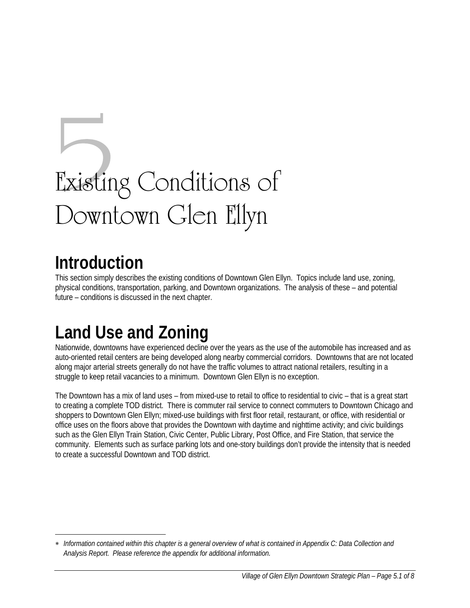# Existing Conditions of Downtown Glen Ellyn

### **Introduction**

 $\overline{a}$ 

This section simply describes the existing conditions of Downtown Glen Ellyn. Topics include land use, zoning, physical conditions, transportation, parking, and Downtown organizations. The analysis of these – and potential future – conditions is discussed in the next chapter.

# **Land Use and Zoning**

Nationwide, downtowns have experienced decline over the years as the use of the automobile has increased and as auto-oriented retail centers are being developed along nearby commercial corridors. Downtowns that are not located along major arterial streets generally do not have the traffic volumes to attract national retailers, resulting in a struggle to keep retail vacancies to a minimum. Downtown Glen Ellyn is no exception.

The Downtown has a mix of land uses – from mixed-use to retail to office to residential to civic – that is a great start to creating a complete TOD district. There is commuter rail service to connect commuters to Downtown Chicago and shoppers to Downtown Glen Ellyn; mixed-use buildings with first floor retail, restaurant, or office, with residential or office uses on the floors above that provides the Downtown with daytime and nighttime activity; and civic buildings such as the Glen Ellyn Train Station, Civic Center, Public Library, Post Office, and Fire Station, that service the community. Elements such as surface parking lots and one-story buildings don't provide the intensity that is needed to create a successful Downtown and TOD district.

<sup>∗</sup> *Information contained within this chapter is a general overview of what is contained in Appendix C: Data Collection and Analysis Report. Please reference the appendix for additional information.*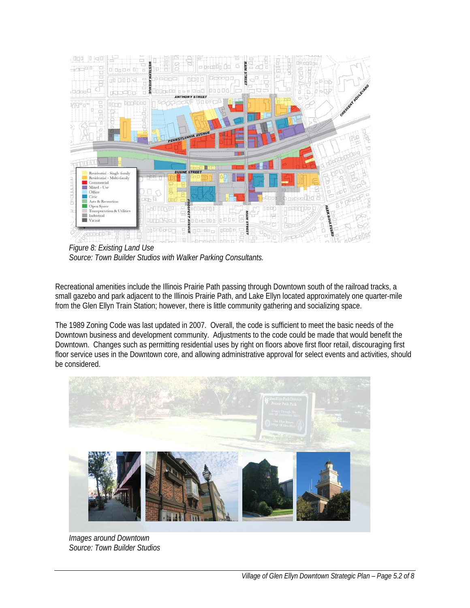

*Figure 8: Existing Land Use Source: Town Builder Studios with Walker Parking Consultants.* 

Recreational amenities include the Illinois Prairie Path passing through Downtown south of the railroad tracks, a small gazebo and park adjacent to the Illinois Prairie Path, and Lake Ellyn located approximately one quarter-mile from the Glen Ellyn Train Station; however, there is little community gathering and socializing space.

The 1989 Zoning Code was last updated in 2007. Overall, the code is sufficient to meet the basic needs of the Downtown business and development community. Adjustments to the code could be made that would benefit the Downtown. Changes such as permitting residential uses by right on floors above first floor retail, discouraging first floor service uses in the Downtown core, and allowing administrative approval for select events and activities, should be considered.



*Images around Downtown Source: Town Builder Studios*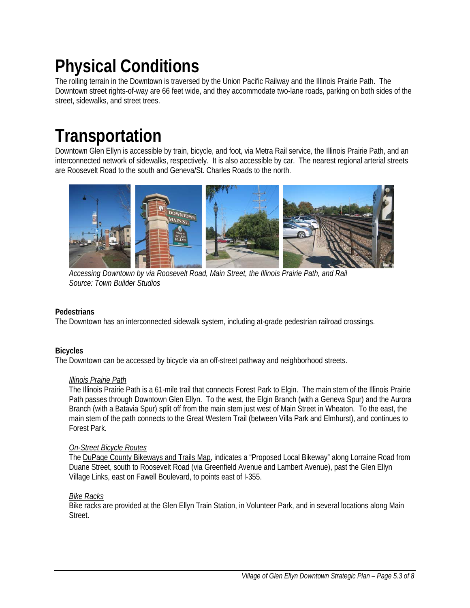# **Physical Conditions**

The rolling terrain in the Downtown is traversed by the Union Pacific Railway and the Illinois Prairie Path. The Downtown street rights-of-way are 66 feet wide, and they accommodate two-lane roads, parking on both sides of the street, sidewalks, and street trees.

# **Transportation**

Downtown Glen Ellyn is accessible by train, bicycle, and foot, via Metra Rail service, the Illinois Prairie Path, and an interconnected network of sidewalks, respectively. It is also accessible by car. The nearest regional arterial streets are Roosevelt Road to the south and Geneva/St. Charles Roads to the north.



 *Accessing Downtown by via Roosevelt Road, Main Street, the Illinois Prairie Path, and Rail Source: Town Builder Studios* 

#### **Pedestrians**

The Downtown has an interconnected sidewalk system, including at-grade pedestrian railroad crossings.

#### **Bicycles**

The Downtown can be accessed by bicycle via an off-street pathway and neighborhood streets.

#### *Illinois Prairie Path*

The Illinois Prairie Path is a 61-mile trail that connects Forest Park to Elgin. The main stem of the Illinois Prairie Path passes through Downtown Glen Ellyn. To the west, the Elgin Branch (with a Geneva Spur) and the Aurora Branch (with a Batavia Spur) split off from the main stem just west of Main Street in Wheaton. To the east, the main stem of the path connects to the Great Western Trail (between Villa Park and Elmhurst), and continues to Forest Park.

#### *On-Street Bicycle Routes*

The DuPage County Bikeways and Trails Map, indicates a "Proposed Local Bikeway" along Lorraine Road from Duane Street, south to Roosevelt Road (via Greenfield Avenue and Lambert Avenue), past the Glen Ellyn Village Links, east on Fawell Boulevard, to points east of I-355.

#### *Bike Racks*

Bike racks are provided at the Glen Ellyn Train Station, in Volunteer Park, and in several locations along Main Street.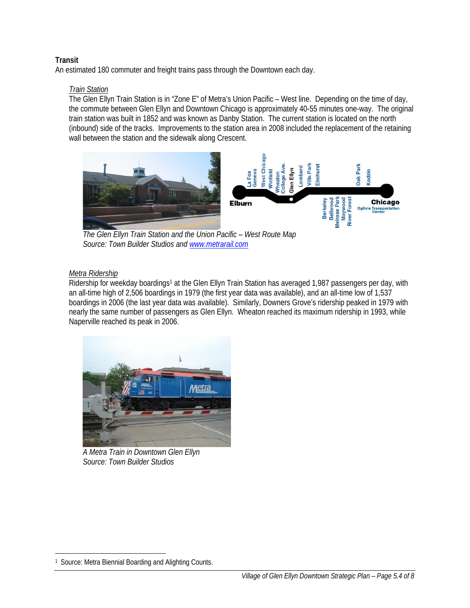#### **Transit**

An estimated 180 commuter and freight trains pass through the Downtown each day.

#### *Train Station*

The Glen Ellyn Train Station is in "Zone E" of Metra's Union Pacific – West line. Depending on the time of day, the commute between Glen Ellyn and Downtown Chicago is approximately 40-55 minutes one-way. The original train station was built in 1852 and was known as Danby Station. The current station is located on the north (inbound) side of the tracks. Improvements to the station area in 2008 included the replacement of the retaining wall between the station and the sidewalk along Crescent.



 *The Glen Ellyn Train Station and the Union Pacific – West Route Map Source: Town Builder Studios and www.metrarail.com*

#### *Metra Ridership*

Ridership for weekday boardings<sup>1</sup> at the Glen Ellyn Train Station has averaged 1,987 passengers per day, with an all-time high of 2,506 boardings in 1979 (the first year data was available), and an all-time low of 1,537 boardings in 2006 (the last year data was available). Similarly, Downers Grove's ridership peaked in 1979 with nearly the same number of passengers as Glen Ellyn. Wheaton reached its maximum ridership in 1993, while Naperville reached its peak in 2006.



*A Metra Train in Downtown Glen Ellyn Source: Town Builder Studios*

 $\overline{a}$ 

<sup>1</sup> Source: Metra Biennial Boarding and Alighting Counts.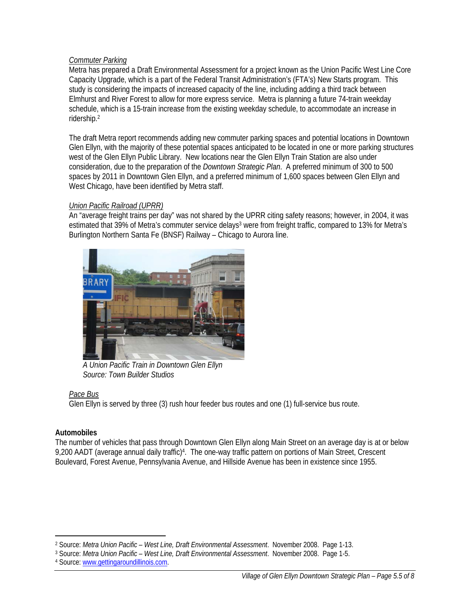#### *Commuter Parking*

Metra has prepared a Draft Environmental Assessment for a project known as the Union Pacific West Line Core Capacity Upgrade, which is a part of the Federal Transit Administration's (FTA's) New Starts program. This study is considering the impacts of increased capacity of the line, including adding a third track between Elmhurst and River Forest to allow for more express service. Metra is planning a future 74-train weekday schedule, which is a 15-train increase from the existing weekday schedule, to accommodate an increase in ridership.2

The draft Metra report recommends adding new commuter parking spaces and potential locations in Downtown Glen Ellyn, with the majority of these potential spaces anticipated to be located in one or more parking structures west of the Glen Ellyn Public Library. New locations near the Glen Ellyn Train Station are also under consideration, due to the preparation of the *Downtown Strategic Plan*. A preferred minimum of 300 to 500 spaces by 2011 in Downtown Glen Ellyn, and a preferred minimum of 1,600 spaces between Glen Ellyn and West Chicago, have been identified by Metra staff.

#### *Union Pacific Railroad (UPRR)*

An "average freight trains per day" was not shared by the UPRR citing safety reasons; however, in 2004, it was estimated that 39% of Metra's commuter service delays<sup>3</sup> were from freight traffic, compared to 13% for Metra's Burlington Northern Santa Fe (BNSF) Railway – Chicago to Aurora line.



*A Union Pacific Train in Downtown Glen Ellyn Source: Town Builder Studios* 

#### *Pace Bus*

Glen Ellyn is served by three (3) rush hour feeder bus routes and one (1) full-service bus route.

#### **Automobiles**

The number of vehicles that pass through Downtown Glen Ellyn along Main Street on an average day is at or below 9,200 AADT (average annual daily traffic)4. The one-way traffic pattern on portions of Main Street, Crescent Boulevard, Forest Avenue, Pennsylvania Avenue, and Hillside Avenue has been in existence since 1955.

 $\overline{a}$ 2 Source: *Metra Union Pacific – West Line, Draft Environmental Assessment*. November 2008. Page 1-13.

<sup>3</sup> Source: *Metra Union Pacific – West Line, Draft Environmental Assessment*. November 2008. Page 1-5.

<sup>4</sup> Source: www.gettingaroundillinois.com.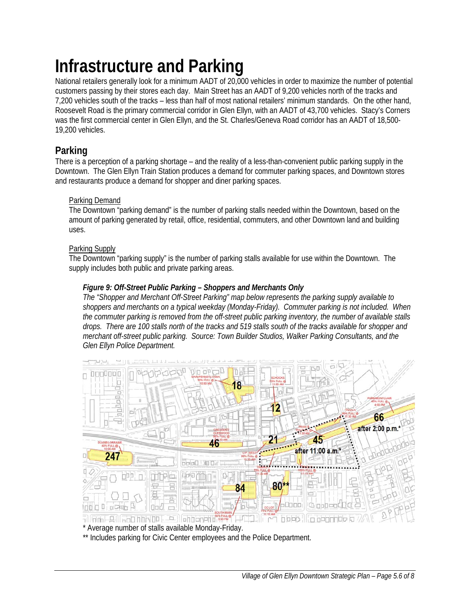# **Infrastructure and Parking**

National retailers generally look for a minimum AADT of 20,000 vehicles in order to maximize the number of potential customers passing by their stores each day. Main Street has an AADT of 9,200 vehicles north of the tracks and 7,200 vehicles south of the tracks – less than half of most national retailers' minimum standards. On the other hand, Roosevelt Road is the primary commercial corridor in Glen Ellyn, with an AADT of 43,700 vehicles. Stacy's Corners was the first commercial center in Glen Ellyn, and the St. Charles/Geneva Road corridor has an AADT of 18,500- 19,200 vehicles.

### **Parking**

There is a perception of a parking shortage – and the reality of a less-than-convenient public parking supply in the Downtown. The Glen Ellyn Train Station produces a demand for commuter parking spaces, and Downtown stores and restaurants produce a demand for shopper and diner parking spaces.

#### Parking Demand

The Downtown "parking demand" is the number of parking stalls needed within the Downtown, based on the amount of parking generated by retail, office, residential, commuters, and other Downtown land and building uses.

#### Parking Supply

The Downtown "parking supply" is the number of parking stalls available for use within the Downtown. The supply includes both public and private parking areas.

#### *Figure 9: Off-Street Public Parking – Shoppers and Merchants Only*

*The "Shopper and Merchant Off-Street Parking" map below represents the parking supply available to shoppers and merchants on a typical weekday (Monday-Friday). Commuter parking is not included. When the commuter parking is removed from the off-street public parking inventory, the number of available stalls drops. There are 100 stalls north of the tracks and 519 stalls south of the tracks available for shopper and merchant off-street public parking. Source: Town Builder Studios, Walker Parking Consultants, and the Glen Ellyn Police Department.* 



\* Average number of stalls available Monday-Friday.

\*\* Includes parking for Civic Center employees and the Police Department.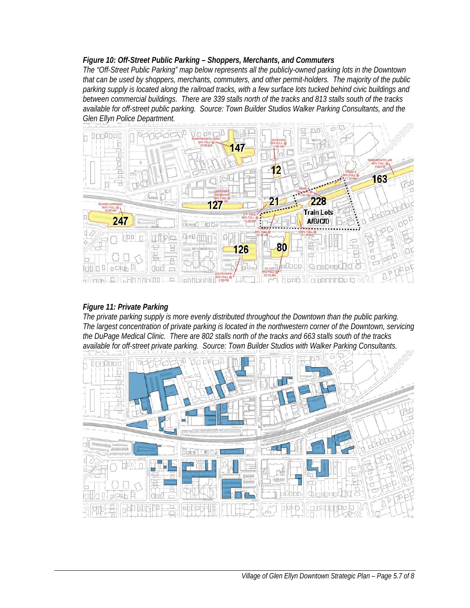#### *Figure 10: Off-Street Public Parking – Shoppers, Merchants, and Commuters*

*The "Off-Street Public Parking" map below represents all the publicly-owned parking lots in the Downtown that can be used by shoppers, merchants, commuters, and other permit-holders. The majority of the public parking supply is located along the railroad tracks, with a few surface lots tucked behind civic buildings and between commercial buildings. There are 339 stalls north of the tracks and 813 stalls south of the tracks available for off-street public parking. Source: Town Builder Studios Walker Parking Consultants, and the Glen Ellyn Police Department.* 



#### *Figure 11: Private Parking*

*The private parking supply is more evenly distributed throughout the Downtown than the public parking. The largest concentration of private parking is located in the northwestern corner of the Downtown, servicing the DuPage Medical Clinic. There are 802 stalls north of the tracks and 663 stalls south of the tracks available for off-street private parking. Source: Town Builder Studios with Walker Parking Consultants.*